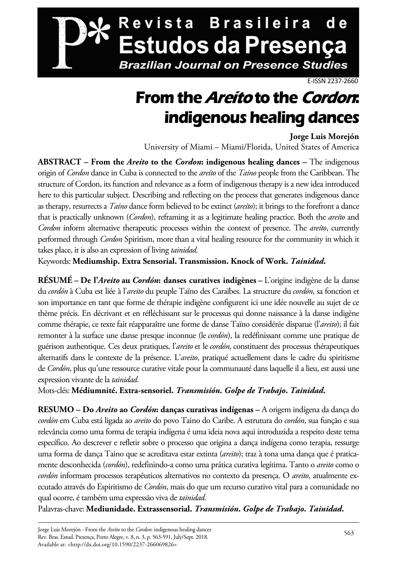

E‐ISSN 2237‐2660

# **From the Areíto to the Cordon: indigenous healing dances**

### **Jorge Luis Morejón**

University of Miami – Miami/Florida, United States of America

**ABSTRACT – From the** *Areíto* **to the** *Cordon***: indigenous healing dances –** The indigenous origin of *Cordon* dance in Cuba is connected to the *areíto* of the *Taíno* people from the Caribbean. The structure of Cordon, its function and relevance as a form of indigenous therapy is a new idea introduced here to this particular subject. Describing and reflecting on the process that generates indigenous dance as therapy, resurrects a *Taíno* dance form believed to be extinct (*areíto*); it brings to the forefront a dance that is practically unknown (*Cordon*), reframing it as a legitimate healing practice. Both the *areíto* and *Cordon* inform alternative therapeutic processes within the context of presence. The *areíto*, currently performed through *Cordon* Spiritism, more than a vital healing resource for the community in which it takes place, it is also an expression of living *tainidad.* 

Keywords: **Mediumship. Extra Sensorial. Transmission. Knock of Work.** *Tainidad***.** 

**RÉSUMÉ – De l'***Areito* **au** *Cordón***: danses curatives indigènes –** L'origine indigène de la danse du *cordón* à Cuba est liée à l'*areito* du peuple Taïno des Caraïbes. La structure du *cordón*, sa fonction et son importance en tant que forme de thérapie indigène configurent ici une idée nouvelle au sujet de ce thème précis. En décrivant et en réfléchissant sur le processus qui donne naissance à la danse indigène comme thérapie, ce texte fait réapparaître une forme de danse Taïno considérée disparue (l'*areito*); il fait remonter à la surface une danse presque inconnue (le *cordón*), la redéfinissant comme une pratique de guérison authentique. Ces deux pratiques, l'*areito* et le *cordón*, constituent des processus thérapeutiques alternatifs dans le contexte de la présence. L'*areito*, pratiqué actuellement dans le cadre du spiritisme de *Cordón*, plus qu'une ressource curative vitale pour la communauté dans laquelle il a lieu, est aussi une expression vivante de la *tainidad*.

Mots-clés: **Médiumnité. Extra-sensoriel.** *Transmisión***.** *Golpe de Trabajo***.** *Tainidad***.**

**RESUMO – Do** *Areito* **ao** *Cordón***: danças curativas indígenas –** A origem indígena da dança do *cordón* em Cuba está ligada ao *areito* do povo Taino do Caribe. A estrutura do *cordón*, sua função e sua relevância como uma forma de terapia indígena é uma ideia nova aqui introduzida a respeito deste tema específico. Ao descrever e refletir sobre o processo que origina a dança indígena como terapia, ressurge uma forma de dança Taino que se acreditava estar extinta (*areito*); traz à tona uma dança que é praticamente desconhecida (*cordón*), redefinindo-a como uma prática curativa legítima. Tanto o *areito* como o *cordón* informam processos terapêuticos alternativos no contexto da presença. O *areito*, atualmente executado através do Espiritismo de *Cordón*, mais do que um recurso curativo vital para a comunidade no qual ocorre, é também uma expressão viva de *tainidad.*

Palavras-chave: **Mediunidade. Extrassensorial.** *Transmisión***.** *Golpe de Trabajo***.** *Tainidad***.**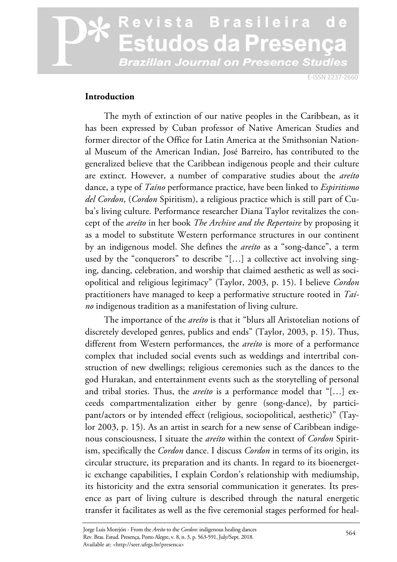E‐ISSN 2237‐2660

### **Introduction**

The myth of extinction of our native peoples in the Caribbean, as it has been expressed by Cuban professor of Native American Studies and former director of the Office for Latin America at the Smithsonian National Museum of the American Indian, José Barreiro, has contributed to the generalized believe that the Caribbean indigenous people and their culture are extinct. However, a number of comparative studies about the *areíto* dance, a type of *Taíno* performance practice, have been linked to *Espiritismo del Cordon*, (*Cordon* Spiritism), a religious practice which is still part of Cuba's living culture. Performance researcher Diana Taylor revitalizes the concept of the *areíto* in her book *The Archive and the Repertoire* by proposing it as a model to substitute Western performance structures in our continent by an indigenous model. She defines the *areíto* as a "song-dance", a term used by the "conquerors" to describe "[...] a collective act involving singing, dancing, celebration, and worship that claimed aesthetic as well as sociopolitical and religious legitimacy" (Taylor, 2003, p. 15). I believe *Cordon* practitioners have managed to keep a performative structure rooted in *Taíno* indigenous tradition as a manifestation of living culture.

The importance of the *areíto* is that it "blurs all Aristotelian notions of discretely developed genres, publics and ends" (Taylor, 2003, p. 15). Thus, different from Western performances, the *areíto* is more of a performance complex that included social events such as weddings and intertribal construction of new dwellings; religious ceremonies such as the dances to the god Hurakan, and entertainment events such as the storytelling of personal and tribal stories. Thus, the *areíto* is a performance model that "[…] exceeds compartmentalization either by genre (song-dance), by participant/actors or by intended effect (religious, sociopolitical, aesthetic)" (Taylor 2003, p. 15). As an artist in search for a new sense of Caribbean indigenous consciousness, I situate the *areíto* within the context of *Cordon* Spiritism, specifically the *Cordon* dance. I discuss *Cordon* in terms of its origin, its circular structure, its preparation and its chants. In regard to its bioenergetic exchange capabilities, I explain Cordon's relationship with mediumship, its historicity and the extra sensorial communication it generates. Its presence as part of living culture is described through the natural energetic transfer it facilitates as well as the five ceremonial stages performed for heal-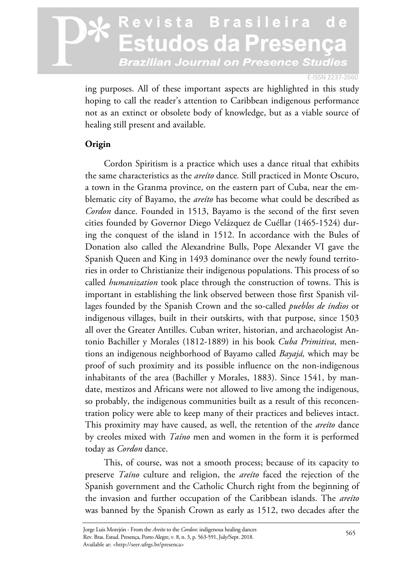#### E‐ISSN 2237‐2660

ing purposes. All of these important aspects are highlighted in this study hoping to call the reader's attention to Caribbean indigenous performance not as an extinct or obsolete body of knowledge, but as a viable source of healing still present and available.

### **Origin**

Cordon Spiritism is a practice which uses a dance ritual that exhibits the same characteristics as the *areíto* dance*.* Still practiced in Monte Oscuro, a town in the Granma province, on the eastern part of Cuba, near the emblematic city of Bayamo, the *areíto* has become what could be described as *Cordon* dance. Founded in 1513, Bayamo is the second of the first seven cities founded by Governor Diego Velázquez de Cuéllar (1465-1524) during the conquest of the island in 1512. In accordance with the Bules of Donation also called the Alexandrine Bulls, Pope Alexander VI gave the Spanish Queen and King in 1493 dominance over the newly found territories in order to Christianize their indigenous populations. This process of so called *humanization* took place through the construction of towns. This is important in establishing the link observed between those first Spanish villages founded by the Spanish Crown and the so-called *pueblos de índios* or indigenous villages, built in their outskirts, with that purpose, since 1503 all over the Greater Antilles. Cuban writer, historian, and archaeologist Antonio Bachiller y Morales (1812-1889) in his book *Cuba Primitiva*, mentions an indigenous neighborhood of Bayamo called *Bayajá,* which may be proof of such proximity and its possible influence on the non-indigenous inhabitants of the area (Bachiller y Morales, 1883). Since 1541, by mandate, mestizos and Africans were not allowed to live among the indigenous, so probably, the indigenous communities built as a result of this reconcentration policy were able to keep many of their practices and believes intact. This proximity may have caused, as well, the retention of the *areíto* dance by creoles mixed with *Taíno* men and women in the form it is performed today as *Cordon* dance.

This, of course, was not a smooth process; because of its capacity to preserve *Taíno* culture and religion, the *areíto* faced the rejection of the Spanish government and the Catholic Church right from the beginning of the invasion and further occupation of the Caribbean islands. The *areíto* was banned by the Spanish Crown as early as 1512, two decades after the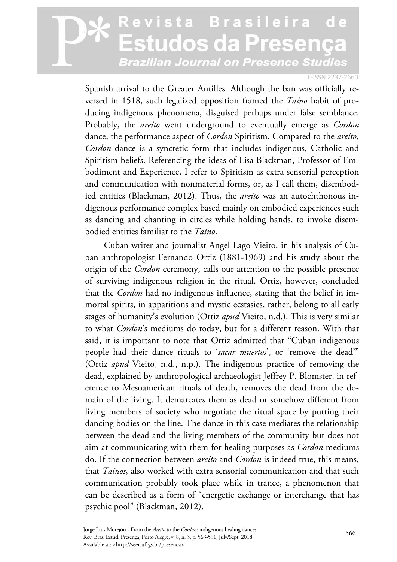#### E‐ISSN 2237‐2660

Spanish arrival to the Greater Antilles. Although the ban was officially reversed in 1518, such legalized opposition framed the *Taíno* habit of producing indigenous phenomena, disguised perhaps under false semblance. Probably, the *areíto* went underground to eventually emerge as *Cordon* dance, the performance aspect of *Cordon* Spiritism. Compared to the *areíto*, *Cordon* dance is a syncretic form that includes indigenous, Catholic and Spiritism beliefs. Referencing the ideas of Lisa Blackman, Professor of Embodiment and Experience, I refer to Spiritism as extra sensorial perception and communication with nonmaterial forms, or, as I call them, disembodied entities (Blackman, 2012). Thus, the *areíto* was an autochthonous indigenous performance complex based mainly on embodied experiences such as dancing and chanting in circles while holding hands, to invoke disembodied entities familiar to the *Taíno*.

Cuban writer and journalist Angel Lago Vieito, in his analysis of Cuban anthropologist Fernando Ortiz (1881-1969) and his study about the origin of the *Cordon* ceremony, calls our attention to the possible presence of surviving indigenous religion in the ritual. Ortiz, however, concluded that the *Cordon* had no indigenous influence, stating that the belief in immortal spirits, in apparitions and mystic ecstasies, rather, belong to all early stages of humanity's evolution (Ortiz *apud* Vieito, n.d.). This is very similar to what *Cordon*'s mediums do today, but for a different reason. With that said, it is important to note that Ortiz admitted that "Cuban indigenous people had their dance rituals to '*sacar muertos*', or 'remove the dead'" (Ortiz *apud* Vieito, n.d., n.p.). The indigenous practice of removing the dead, explained by anthropological archaeologist Jeffrey P. Blomster, in reference to Mesoamerican rituals of death, removes the dead from the domain of the living. It demarcates them as dead or somehow different from living members of society who negotiate the ritual space by putting their dancing bodies on the line. The dance in this case mediates the relationship between the dead and the living members of the community but does not aim at communicating with them for healing purposes as *Cordon* mediums do. If the connection between *areíto* and *Cordon* is indeed true, this means, that *Taínos*, also worked with extra sensorial communication and that such communication probably took place while in trance, a phenomenon that can be described as a form of "energetic exchange or interchange that has psychic pool" (Blackman, 2012).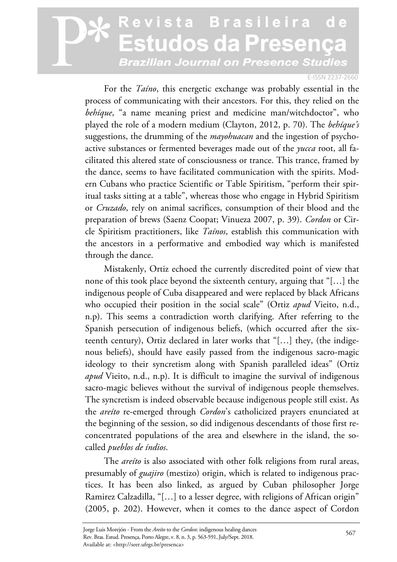#### E‐ISSN 2237‐2660

For the *Taíno*, this energetic exchange was probably essential in the process of communicating with their ancestors. For this, they relied on the *behíque*, "a name meaning priest and medicine man/witchdoctor", who played the role of a modern medium (Clayton, 2012, p. 70). The *behíque's*  suggestions, the drumming of the *mayohuacan* and the ingestion of psychoactive substances or fermented beverages made out of the *yucca* root, all facilitated this altered state of consciousness or trance. This trance, framed by the dance, seems to have facilitated communication with the spirits. Modern Cubans who practice Scientific or Table Spiritism, "perform their spiritual tasks sitting at a table", whereas those who engage in Hybrid Spiritism or *Cruzado*, rely on animal sacrifices, consumption of their blood and the preparation of brews (Saenz Coopat; Vinueza 2007, p. 39). *Cordon* or Circle Spiritism practitioners, like *Taínos*, establish this communication with the ancestors in a performative and embodied way which is manifested through the dance.

Mistakenly, Ortiz echoed the currently discredited point of view that none of this took place beyond the sixteenth century, arguing that "[…] the indigenous people of Cuba disappeared and were replaced by black Africans who occupied their position in the social scale" (Ortiz *apud* Vieito, n.d., n.p). This seems a contradiction worth clarifying. After referring to the Spanish persecution of indigenous beliefs, (which occurred after the sixteenth century), Ortiz declared in later works that "[…] they, (the indigenous beliefs), should have easily passed from the indigenous sacro-magic ideology to their syncretism along with Spanish paralleled ideas" (Ortiz *apud* Vieito, n.d., n.p). It is difficult to imagine the survival of indigenous sacro-magic believes without the survival of indigenous people themselves. The syncretism is indeed observable because indigenous people still exist. As the *areíto* re-emerged through *Cordon*'s catholicized prayers enunciated at the beginning of the session, so did indigenous descendants of those first reconcentrated populations of the area and elsewhere in the island, the socalled *pueblos de índios*.

The *areíto* is also associated with other folk religions from rural areas, presumably of *guajiro* (mestizo) origin, which is related to indigenous practices. It has been also linked, as argued by Cuban philosopher Jorge Ramirez Calzadilla, "[…] to a lesser degree, with religions of African origin" (2005, p. 202). However, when it comes to the dance aspect of Cordon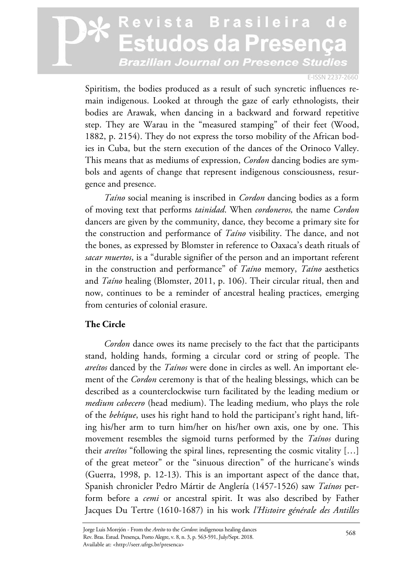#### E‐ISSN 2237‐2660

Spiritism, the bodies produced as a result of such syncretic influences remain indigenous. Looked at through the gaze of early ethnologists, their bodies are Arawak, when dancing in a backward and forward repetitive step. They are Warau in the "measured stamping" of their feet (Wood, 1882, p. 2154). They do not express the torso mobility of the African bodies in Cuba, but the stern execution of the dances of the Orinoco Valley. This means that as mediums of expression, *Cordon* dancing bodies are symbols and agents of change that represent indigenous consciousness, resurgence and presence.

*Taíno* social meaning is inscribed in *Cordon* dancing bodies as a form of moving text that performs *tainidad*. When *cordoneros,* the name *Cordon* dancers are given by the community, dance, they become a primary site for the construction and performance of *Taíno* visibility. The dance, and not the bones, as expressed by Blomster in reference to Oaxaca's death rituals of *sacar muertos*, is a "durable signifier of the person and an important referent in the construction and performance" of *Taíno* memory, *Taíno* aesthetics and *Taíno* healing (Blomster, 2011, p. 106). Their circular ritual, then and now, continues to be a reminder of ancestral healing practices, emerging from centuries of colonial erasure.

### **The Circle**

*Cordon* dance owes its name precisely to the fact that the participants stand, holding hands, forming a circular cord or string of people. The *areítos* danced by the *Taínos* were done in circles as well. An important element of the *Cordon* ceremony is that of the healing blessings, which can be described as a counterclockwise turn facilitated by the leading medium or *medium cabecero* (head medium). The leading medium, who plays the role of the *behíque*, uses his right hand to hold the participant's right hand, lifting his/her arm to turn him/her on his/her own axis, one by one. This movement resembles the sigmoid turns performed by the *Taínos* during their *areítos* "following the spiral lines, representing the cosmic vitality […] of the great meteor" or the "sinuous direction" of the hurricane's winds (Guerra, 1998, p. 12-13). This is an important aspect of the dance that, Spanish chronicler Pedro Mártir de Anglería (1457-1526) saw *Taínos* perform before a *cemi* or ancestral spirit. It was also described by Father Jacques Du Tertre (1610-1687) in his work *l'Histoire générale des Antilles*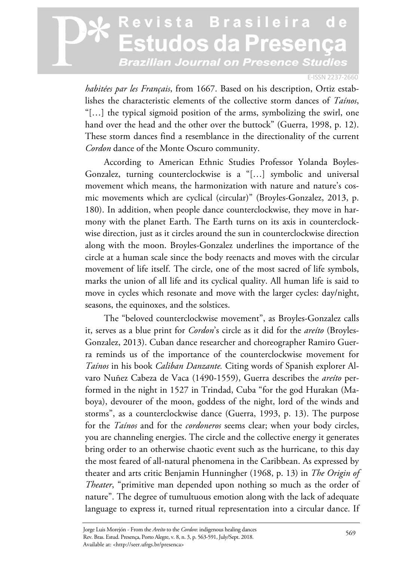#### E‐ISSN 2237‐2660

*habitées par les Français*, from 1667. Based on his description, Ortiz establishes the characteristic elements of the collective storm dances of *Taínos*, "[…] the typical sigmoid position of the arms, symbolizing the swirl, one hand over the head and the other over the buttock" (Guerra, 1998, p. 12). These storm dances find a resemblance in the directionality of the current *Cordon* dance of the Monte Oscuro community.

According to American Ethnic Studies Professor Yolanda Boyles-Gonzalez, turning counterclockwise is a "[…] symbolic and universal movement which means, the harmonization with nature and nature's cosmic movements which are cyclical (circular)" (Broyles-Gonzalez, 2013, p. 180). In addition, when people dance counterclockwise, they move in harmony with the planet Earth. The Earth turns on its axis in counterclockwise direction, just as it circles around the sun in counterclockwise direction along with the moon. Broyles-Gonzalez underlines the importance of the circle at a human scale since the body reenacts and moves with the circular movement of life itself. The circle, one of the most sacred of life symbols, marks the union of all life and its cyclical quality. All human life is said to move in cycles which resonate and move with the larger cycles: day/night, seasons, the equinoxes, and the solstices.

The "beloved counterclockwise movement", as Broyles-Gonzalez calls it, serves as a blue print for *Cordon*'s circle as it did for the *areíto* (Broyles-Gonzalez, 2013). Cuban dance researcher and choreographer Ramiro Guerra reminds us of the importance of the counterclockwise movement for *Taínos* in his book *Caliban Danzante.* Citing words of Spanish explorer Alvaro Nuñez Cabeza de Vaca (1490-1559), Guerra describes the *areíto* performed in the night in 1527 in Trindad, Cuba "for the god Hurakan (Maboya), devourer of the moon, goddess of the night, lord of the winds and storms", as a counterclockwise dance (Guerra, 1993, p. 13). The purpose for the *Taínos* and for the *cordoneros* seems clear; when your body circles, you are channeling energies. The circle and the collective energy it generates bring order to an otherwise chaotic event such as the hurricane, to this day the most feared of all-natural phenomena in the Caribbean. As expressed by theater and arts critic Benjamin Hunningher (1968, p. 13) in *The Origin of Theater*, "primitive man depended upon nothing so much as the order of nature". The degree of tumultuous emotion along with the lack of adequate language to express it, turned ritual representation into a circular dance. If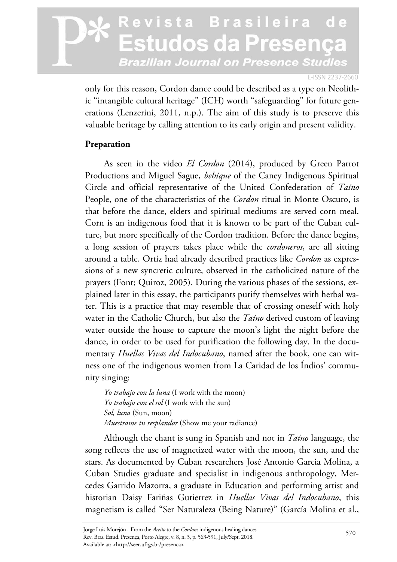#### E‐ISSN 2237‐2660

only for this reason, Cordon dance could be described as a type on Neolithic "intangible cultural heritage" (ICH) worth "safeguarding" for future generations (Lenzerini, 2011, n.p.). The aim of this study is to preserve this valuable heritage by calling attention to its early origin and present validity.

### **Preparation**

As seen in the video *El Cordon* (2014), produced by Green Parrot Productions and Miguel Sague, *behíque* of the Caney Indigenous Spiritual Circle and official representative of the United Confederation of *Taíno*  People, one of the characteristics of the *Cordon* ritual in Monte Oscuro, is that before the dance, elders and spiritual mediums are served corn meal. Corn is an indigenous food that it is known to be part of the Cuban culture, but more specifically of the Cordon tradition. Before the dance begins, a long session of prayers takes place while the *cordoneros*, are all sitting around a table. Ortiz had already described practices like *Cordon* as expressions of a new syncretic culture, observed in the catholicized nature of the prayers (Font; Quiroz, 2005). During the various phases of the sessions, explained later in this essay, the participants purify themselves with herbal water. This is a practice that may resemble that of crossing oneself with holy water in the Catholic Church, but also the *Taíno* derived custom of leaving water outside the house to capture the moon's light the night before the dance, in order to be used for purification the following day. In the documentary *Huellas Vivas del Indocubano*, named after the book, one can witness one of the indigenous women from La Caridad de los Índios' community singing:

*Yo trabajo con la luna* (I work with the moon) *Yo trabajo con el sol* (I work with the sun) *Sol, luna* (Sun, moon) *Muestrame tu resplandor* (Show me your radiance)

Although the chant is sung in Spanish and not in *Taíno* language, the song reflects the use of magnetized water with the moon, the sun, and the stars. As documented by Cuban researchers José Antonio Garcia Molina, a Cuban Studies graduate and specialist in indigenous anthropology, Mercedes Garrido Mazorra, a graduate in Education and performing artist and historian Daisy Fariñas Gutierrez in *Huellas Vivas del Indocubano*, this magnetism is called "Ser Naturaleza (Being Nature)" (García Molina et al.,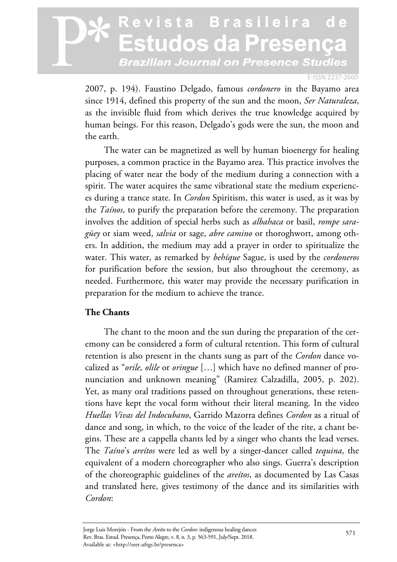#### E‐ISSN 2237‐2660

2007, p. 194). Faustino Delgado, famous *cordonero* in the Bayamo area since 1914, defined this property of the sun and the moon, *Ser Naturaleza*, as the invisible fluid from which derives the true knowledge acquired by human beings. For this reason, Delgado's gods were the sun, the moon and the earth.

The water can be magnetized as well by human bioenergy for healing purposes, a common practice in the Bayamo area. This practice involves the placing of water near the body of the medium during a connection with a spirit. The water acquires the same vibrational state the medium experiences during a trance state. In *Cordon* Spiritism, this water is used, as it was by the *Taínos*, to purify the preparation before the ceremony. The preparation involves the addition of special herbs such as *albahaca* or basil, *rompe saragüey* or siam weed, *salvia* or sage, *abre camino* or thoroghwort, among others. In addition, the medium may add a prayer in order to spiritualize the water. This water, as remarked by *behíque* Sague, is used by the *cordoneros* for purification before the session, but also throughout the ceremony, as needed. Furthermore, this water may provide the necessary purification in preparation for the medium to achieve the trance.

### **The Chants**

The chant to the moon and the sun during the preparation of the ceremony can be considered a form of cultural retention. This form of cultural retention is also present in the chants sung as part of the *Cordon* dance vocalized as "*orile, olile* or *oringue* […] which have no defined manner of pronunciation and unknown meaning" (Ramirez Calzadilla, 2005, p. 202). Yet, as many oral traditions passed on throughout generations, these retentions have kept the vocal form without their literal meaning. In the video *Huellas Vivas del Indocubano*, Garrido Mazorra defines *Cordon* as a ritual of dance and song, in which, to the voice of the leader of the rite, a chant begins. These are a cappella chants led by a singer who chants the lead verses. The *Taíno*'s *areítos* were led as well by a singer-dancer called *tequina*, the equivalent of a modern choreographer who also sings. Guerra's description of the choreographic guidelines of the *areítos*, as documented by Las Casas and translated here, gives testimony of the dance and its similarities with *Cordon*:

Jorge Luis Morejón - From the *Areíto* to the *Cordon*: indigenous healing dances Rev. Bras. Estud. Presença, Porto Alegre, v. 8, n. 3, p. 563-591, July/Sept. 2018. Available at: <http://seer.ufrgs.br/presenca>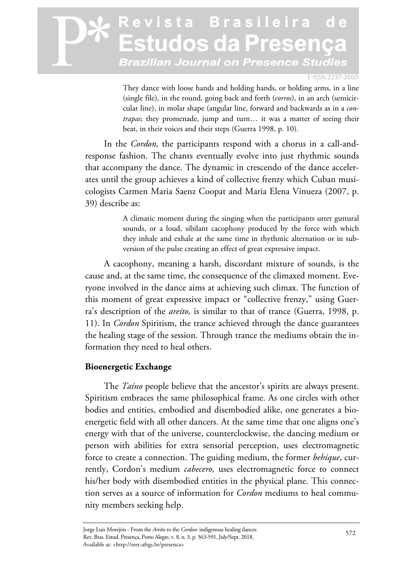#### E‐ISSN 2237‐2660

They dance with loose hands and holding hands, or holding arms, in a line (single file), in the round, going back and forth (*corros*), in an arch (semicircular line), in molar shape (angular line, forward and backwards as in a *contrapas*; they promenade, jump and turn… it was a matter of seeing their beat, in their voices and their steps (Guerra 1998, p. 10).

In the *Cordon,* the participants respond with a chorus in a call-andresponse fashion. The chants eventually evolve into just rhythmic sounds that accompany the dance. The dynamic in crescendo of the dance accelerates until the group achieves a kind of collective frenzy which Cuban musicologists Carmen Maria Saenz Coopat and Maria Elena Vinueza (2007, p. 39) describe as:

> A climatic moment during the singing when the participants utter guttural sounds, or a loud, sibilant cacophony produced by the force with which they inhale and exhale at the same time in rhythmic alternation or in subversion of the pulse creating an effect of great expressive impact.

A cacophony, meaning a harsh, discordant mixture of sounds, is the cause and, at the same time, the consequence of the climaxed moment. Everyone involved in the dance aims at achieving such climax. The function of this moment of great expressive impact or "collective frenzy," using Guerra's description of the *areíto,* is similar to that of trance (Guerra, 1998, p. 11). In *Cordon* Spiritism, the trance achieved through the dance guarantees the healing stage of the session. Through trance the mediums obtain the information they need to heal others.

### **Bioenergetic Exchange**

The *Taíno* people believe that the ancestor's spirits are always present. Spiritism embraces the same philosophical frame. As one circles with other bodies and entities, embodied and disembodied alike, one generates a bioenergetic field with all other dancers. At the same time that one aligns one's energy with that of the universe, counterclockwise, the dancing medium or person with abilities for extra sensorial perception, uses electromagnetic force to create a connection. The guiding medium, the former *behíque*, currently, Cordon's medium *cabecero,* uses electromagnetic force to connect his/her body with disembodied entities in the physical plane. This connection serves as a source of information for *Cordon* mediums to heal community members seeking help.

Jorge Luis Morejón - From the *Areíto* to the *Cordon*: indigenous healing dances Rev. Bras. Estud. Presença, Porto Alegre, v. 8, n. 3, p. 563-591, July/Sept. 2018. Available at: <http://seer.ufrgs.br/presenca>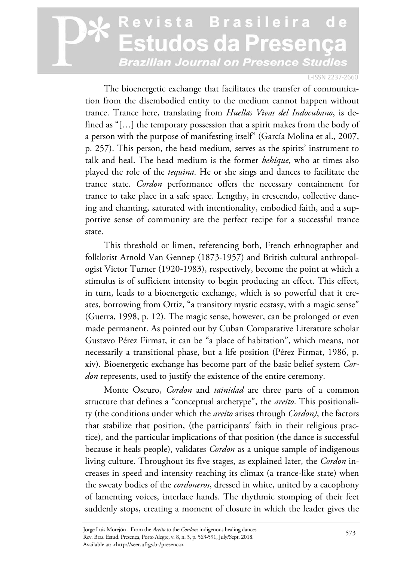#### E‐ISSN 2237‐2660

The bioenergetic exchange that facilitates the transfer of communication from the disembodied entity to the medium cannot happen without trance. Trance here, translating from *Huellas Vivas del Indocubano*, is defined as "[…] the temporary possession that a spirit makes from the body of a person with the purpose of manifesting itself" (García Molina et al., 2007, p. 257). This person, the head medium*,* serves as the spirits' instrument to talk and heal. The head medium is the former *behíque*, who at times also played the role of the *tequina*. He or she sings and dances to facilitate the trance state. *Cordon* performance offers the necessary containment for trance to take place in a safe space. Lengthy, in crescendo, collective dancing and chanting, saturated with intentionality, embodied faith, and a supportive sense of community are the perfect recipe for a successful trance state.

This threshold or limen, referencing both, French ethnographer and folklorist Arnold Van Gennep (1873-1957) and British cultural anthropologist Victor Turner (1920-1983), respectively, become the point at which a stimulus is of sufficient intensity to begin producing an effect. This effect, in turn, leads to a bioenergetic exchange, which is so powerful that it creates, borrowing from Ortiz, "a transitory mystic ecstasy, with a magic sense" (Guerra, 1998, p. 12). The magic sense, however, can be prolonged or even made permanent. As pointed out by Cuban Comparative Literature scholar Gustavo Pérez Firmat, it can be "a place of habitation", which means, not necessarily a transitional phase, but a life position (Pérez Firmat, 1986, p. xiv). Bioenergetic exchange has become part of the basic belief system *Cordon* represents, used to justify the existence of the entire ceremony.

Monte Oscuro, *Cordon* and *tainidad* are three parts of a common structure that defines a "conceptual archetype", the *areíto*. This positionality (the conditions under which the *areíto* arises through *Cordon)*, the factors that stabilize that position, (the participants' faith in their religious practice), and the particular implications of that position (the dance is successful because it heals people), validates *Cordon* as a unique sample of indigenous living culture. Throughout its five stages, as explained later, the *Cordon* increases in speed and intensity reaching its climax (a trance-like state) when the sweaty bodies of the *cordoneros*, dressed in white, united by a cacophony of lamenting voices, interlace hands. The rhythmic stomping of their feet suddenly stops, creating a moment of closure in which the leader gives the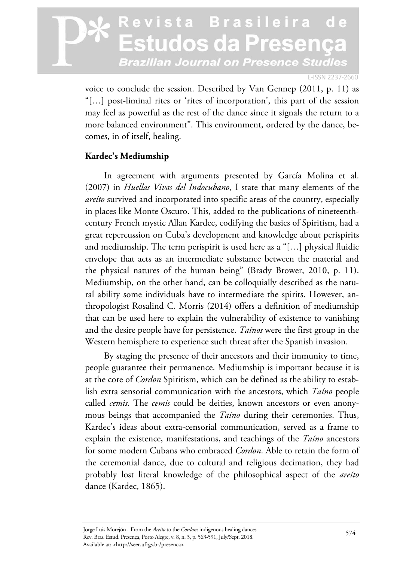#### E‐ISSN 2237‐2660

voice to conclude the session. Described by Van Gennep (2011, p. 11) as "[…] post-liminal rites or 'rites of incorporation', this part of the session may feel as powerful as the rest of the dance since it signals the return to a more balanced environment". This environment, ordered by the dance, becomes, in of itself, healing.

### **Kardec's Mediumship**

In agreement with arguments presented by García Molina et al. (2007) in *Huellas Vivas del Indocubano*, I state that many elements of the *areíto* survived and incorporated into specific areas of the country, especially in places like Monte Oscuro. This, added to the publications of nineteenthcentury French mystic Allan Kardec, codifying the basics of Spiritism, had a great repercussion on Cuba's development and knowledge about perispirits and mediumship. The term perispirit is used here as a "[…] physical fluidic envelope that acts as an intermediate substance between the material and the physical natures of the human being" (Brady Brower, 2010, p. 11). Mediumship, on the other hand, can be colloquially described as the natural ability some individuals have to intermediate the spirits. However, anthropologist Rosalind C. Morris (2014) offers a definition of mediumship that can be used here to explain the vulnerability of existence to vanishing and the desire people have for persistence. *Taínos* were the first group in the Western hemisphere to experience such threat after the Spanish invasion.

By staging the presence of their ancestors and their immunity to time, people guarantee their permanence. Mediumship is important because it is at the core of *Cordon* Spiritism, which can be defined as the ability to establish extra sensorial communication with the ancestors, which *Taíno* people called *cemis*. The *cemis* could be deities, known ancestors or even anonymous beings that accompanied the *Taíno* during their ceremonies. Thus, Kardec's ideas about extra-censorial communication, served as a frame to explain the existence, manifestations, and teachings of the *Taíno* ancestors for some modern Cubans who embraced *Cordon*. Able to retain the form of the ceremonial dance, due to cultural and religious decimation, they had probably lost literal knowledge of the philosophical aspect of the *areíto* dance (Kardec, 1865).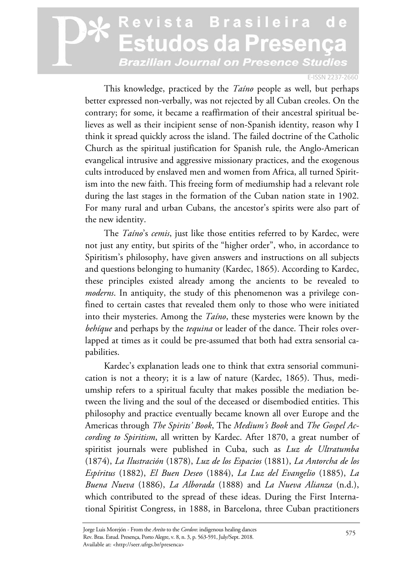#### E‐ISSN 2237‐2660

This knowledge, practiced by the *Taíno* people as well, but perhaps better expressed non-verbally, was not rejected by all Cuban creoles. On the contrary; for some, it became a reaffirmation of their ancestral spiritual believes as well as their incipient sense of non-Spanish identity, reason why I think it spread quickly across the island. The failed doctrine of the Catholic Church as the spiritual justification for Spanish rule, the Anglo-American evangelical intrusive and aggressive missionary practices, and the exogenous cults introduced by enslaved men and women from Africa, all turned Spiritism into the new faith. This freeing form of mediumship had a relevant role during the last stages in the formation of the Cuban nation state in 1902. For many rural and urban Cubans, the ancestor's spirits were also part of the new identity.

The *Taíno*'s *cemis*, just like those entities referred to by Kardec, were not just any entity, but spirits of the "higher order", who, in accordance to Spiritism's philosophy, have given answers and instructions on all subjects and questions belonging to humanity (Kardec, 1865). According to Kardec, these principles existed already among the ancients to be revealed to *moderns*. In antiquity, the study of this phenomenon was a privilege confined to certain castes that revealed them only to those who were initiated into their mysteries. Among the *Taíno*, these mysteries were known by the *behíque* and perhaps by the *tequina* or leader of the dance. Their roles overlapped at times as it could be pre-assumed that both had extra sensorial capabilities.

Kardec's explanation leads one to think that extra sensorial communication is not a theory; it is a law of nature (Kardec, 1865). Thus, mediumship refers to a spiritual faculty that makes possible the mediation between the living and the soul of the deceased or disembodied entities. This philosophy and practice eventually became known all over Europe and the Americas through *The Spirits' Book*, The *Medium's Book* and *The Gospel According to Spiritism*, all written by Kardec. After 1870, a great number of spiritist journals were published in Cuba, such as *Luz de Ultratumba* (1874), *La Ilustración* (1878), *Luz de los Espacios* (1881), *La Antorcha de los Espíritus* (1882), *El Buen Deseo* (1884), *La Luz del Evangelio* (1885), *La Buena Nueva* (1886), *La Alborada* (1888) and *La Nueva Alianza* (n.d.), which contributed to the spread of these ideas. During the First International Spiritist Congress, in 1888, in Barcelona, three Cuban practitioners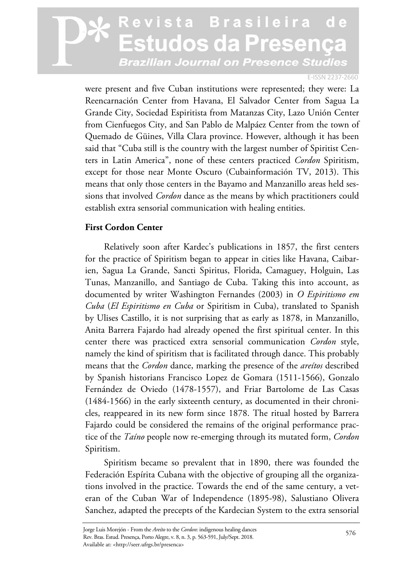#### E‐ISSN 2237‐2660

were present and five Cuban institutions were represented; they were: La Reencarnación Center from Havana, El Salvador Center from Sagua La Grande City, Sociedad Espiritista from Matanzas City, Lazo Unión Center from Cienfuegos City, and San Pablo de Malpáez Center from the town of Quemado de Güines, Villa Clara province. However, although it has been said that "Cuba still is the country with the largest number of Spiritist Centers in Latin America", none of these centers practiced *Cordon* Spiritism, except for those near Monte Oscuro (Cubainformación TV, 2013). This means that only those centers in the Bayamo and Manzanillo areas held sessions that involved *Cordon* dance as the means by which practitioners could establish extra sensorial communication with healing entities.

### **First Cordon Center**

Relatively soon after Kardec's publications in 1857, the first centers for the practice of Spiritism began to appear in cities like Havana, Caibarien, Sagua La Grande, Sancti Spiritus, Florida, Camaguey, Holguin, Las Tunas, Manzanillo, and Santiago de Cuba. Taking this into account, as documented by writer Washington Fernandes (2003) in *O Espiritismo em Cuba* (*El Espiritismo en Cuba* or Spiritism in Cuba), translated to Spanish by Ulises Castillo, it is not surprising that as early as 1878, in Manzanillo, Anita Barrera Fajardo had already opened the first spiritual center. In this center there was practiced extra sensorial communication *Cordon* style, namely the kind of spiritism that is facilitated through dance. This probably means that the *Cordon* dance, marking the presence of the *areítos* described by Spanish historians Francisco Lopez de Gomara (1511-1566), Gonzalo Fernández de Oviedo (1478-1557), and Friar Bartolome de Las Casas (1484-1566) in the early sixteenth century, as documented in their chronicles, reappeared in its new form since 1878. The ritual hosted by Barrera Fajardo could be considered the remains of the original performance practice of the *Taíno* people now re-emerging through its mutated form, *Cordon* Spiritism.

Spiritism became so prevalent that in 1890, there was founded the Federación Espírita Cubana with the objective of grouping all the organizations involved in the practice. Towards the end of the same century, a veteran of the Cuban War of Independence (1895-98), Salustiano Olivera Sanchez, adapted the precepts of the Kardecian System to the extra sensorial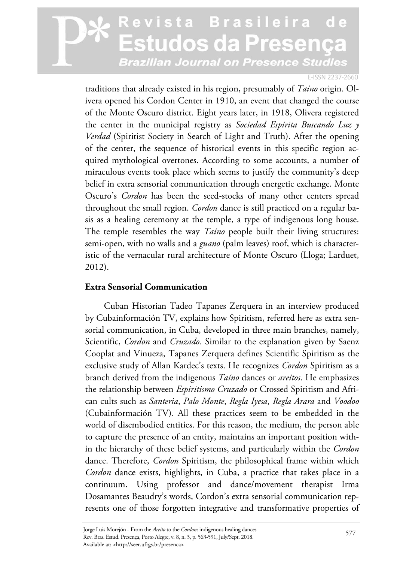#### E‐ISSN 2237‐2660

traditions that already existed in his region, presumably of *Taíno* origin. Olivera opened his Cordon Center in 1910, an event that changed the course of the Monte Oscuro district. Eight years later, in 1918, Olivera registered the center in the municipal registry as *Sociedad Espírita Buscando Luz y Verdad* (Spiritist Society in Search of Light and Truth). After the opening of the center, the sequence of historical events in this specific region acquired mythological overtones. According to some accounts, a number of miraculous events took place which seems to justify the community's deep belief in extra sensorial communication through energetic exchange. Monte Oscuro's *Cordon* has been the seed-stocks of many other centers spread throughout the small region. *Cordon* dance is still practiced on a regular basis as a healing ceremony at the temple, a type of indigenous long house. The temple resembles the way *Taíno* people built their living structures: semi-open, with no walls and a *guano* (palm leaves) roof, which is characteristic of the vernacular rural architecture of Monte Oscuro (Lloga; Larduet, 2012).

### **Extra Sensorial Communication**

Cuban Historian Tadeo Tapanes Zerquera in an interview produced by Cubainformación TV, explains how Spiritism, referred here as extra sensorial communication, in Cuba, developed in three main branches, namely, Scientific, *Cordon* and *Cruzado*. Similar to the explanation given by Saenz Cooplat and Vinueza, Tapanes Zerquera defines Scientific Spiritism as the exclusive study of Allan Kardec's texts. He recognizes *Cordon* Spiritism as a branch derived from the indigenous *Taíno* dances or *areítos*. He emphasizes the relationship between *Espiritismo Cruzado* or Crossed Spiritism and African cults such as *Santeria*, *Palo Monte*, *Regla Iyesa*, *Regla Arara* and *Voodoo* (Cubainformación TV). All these practices seem to be embedded in the world of disembodied entities. For this reason, the medium, the person able to capture the presence of an entity, maintains an important position within the hierarchy of these belief systems, and particularly within the *Cordon* dance. Therefore, *Cordon* Spiritism, the philosophical frame within which *Cordon* dance exists, highlights, in Cuba, a practice that takes place in a continuum. Using professor and dance/movement therapist Irma Dosamantes Beaudry's words, Cordon's extra sensorial communication represents one of those forgotten integrative and transformative properties of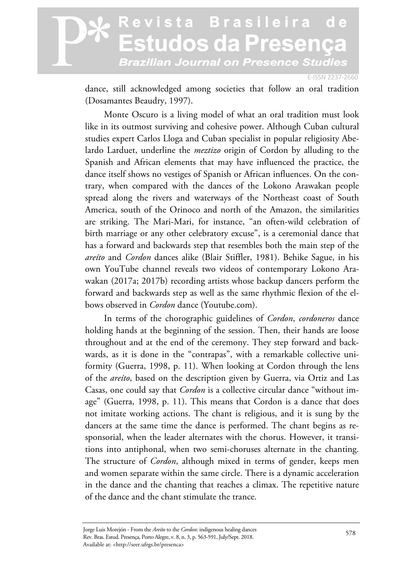#### E‐ISSN 2237‐2660

dance, still acknowledged among societies that follow an oral tradition (Dosamantes Beaudry, 1997).

Monte Oscuro is a living model of what an oral tradition must look like in its outmost surviving and cohesive power. Although Cuban cultural studies expert Carlos Lloga and Cuban specialist in popular religiosity Abelardo Larduet, underline the *meztizo* origin of Cordon by alluding to the Spanish and African elements that may have influenced the practice, the dance itself shows no vestiges of Spanish or African influences. On the contrary, when compared with the dances of the Lokono Arawakan people spread along the rivers and waterways of the Northeast coast of South America, south of the Orinoco and north of the Amazon, the similarities are striking. The Mari-Mari, for instance, "an often-wild celebration of birth marriage or any other celebratory excuse", is a ceremonial dance that has a forward and backwards step that resembles both the main step of the *areíto* and *Cordon* dances alike (Blair Stiffler, 1981). Behike Sague, in his own YouTube channel reveals two videos of contemporary Lokono Arawakan (2017a; 2017b) recording artists whose backup dancers perform the forward and backwards step as well as the same rhythmic flexion of the elbows observed in *Cordon* dance (Youtube.com).

In terms of the chorographic guidelines of *Cordon*, *cordoneros* dance holding hands at the beginning of the session. Then, their hands are loose throughout and at the end of the ceremony. They step forward and backwards, as it is done in the "contrapas", with a remarkable collective uniformity (Guerra, 1998, p. 11). When looking at Cordon through the lens of the *areíto*, based on the description given by Guerra, via Ortiz and Las Casas, one could say that *Cordon* is a collective circular dance "without image" (Guerra, 1998, p. 11). This means that Cordon is a dance that does not imitate working actions. The chant is religious, and it is sung by the dancers at the same time the dance is performed. The chant begins as responsorial, when the leader alternates with the chorus. However, it transitions into antiphonal, when two semi-choruses alternate in the chanting. The structure of *Cordon*, although mixed in terms of gender, keeps men and women separate within the same circle. There is a dynamic acceleration in the dance and the chanting that reaches a climax. The repetitive nature of the dance and the chant stimulate the trance.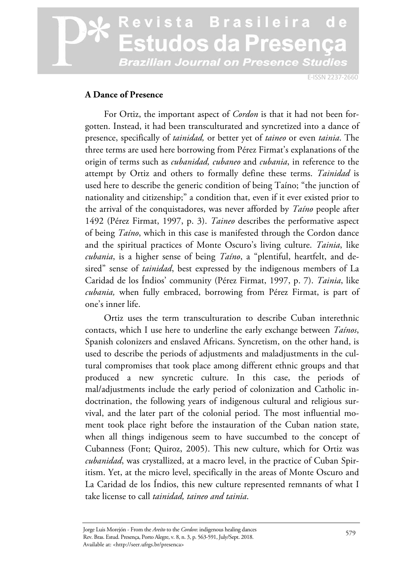E‐ISSN 2237‐2660

### **A Dance of Presence**

For Ortiz, the important aspect of *Cordon* is that it had not been forgotten. Instead, it had been transculturated and syncretized into a dance of presence, specifically of *tainidad,* or better yet of *taineo* or even *tainia*. The three terms are used here borrowing from Pérez Firmat's explanations of the origin of terms such as *cubanidad, cubaneo* and *cubania*, in reference to the attempt by Ortiz and others to formally define these terms. *Tainidad* is used here to describe the generic condition of being Taíno; "the junction of nationality and citizenship;" a condition that, even if it ever existed prior to the arrival of the conquistadores, was never afforded by *Taíno* people after 1492 (Pérez Firmat, 1997, p. 3). *Taineo* describes the performative aspect of being *Taíno*, which in this case is manifested through the Cordon dance and the spiritual practices of Monte Oscuro's living culture. *Tainia*, like *cubania*, is a higher sense of being *Taíno*, a "plentiful, heartfelt, and desired" sense of *tainidad*, best expressed by the indigenous members of La Caridad de los Índios' community (Pérez Firmat, 1997, p. 7). *Tainia*, like *cubania,* when fully embraced, borrowing from Pérez Firmat, is part of one's inner life.

Ortiz uses the term transculturation to describe Cuban interethnic contacts, which I use here to underline the early exchange between *Taínos*, Spanish colonizers and enslaved Africans. Syncretism, on the other hand, is used to describe the periods of adjustments and maladjustments in the cultural compromises that took place among different ethnic groups and that produced a new syncretic culture. In this case, the periods of mal/adjustments include the early period of colonization and Catholic indoctrination, the following years of indigenous cultural and religious survival, and the later part of the colonial period. The most influential moment took place right before the instauration of the Cuban nation state, when all things indigenous seem to have succumbed to the concept of Cubanness (Font; Quiroz, 2005). This new culture, which for Ortiz was *cubanidad*, was crystallized, at a macro level, in the practice of Cuban Spiritism. Yet, at the micro level, specifically in the areas of Monte Oscuro and La Caridad de los Índios, this new culture represented remnants of what I take license to call *tainidad, taineo and tainia*.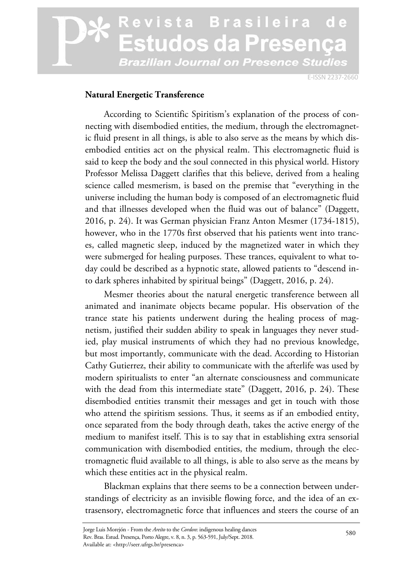E‐ISSN 2237‐2660

### **Natural Energetic Transference**

According to Scientific Spiritism's explanation of the process of connecting with disembodied entities, the medium, through the electromagnetic fluid present in all things, is able to also serve as the means by which disembodied entities act on the physical realm. This electromagnetic fluid is said to keep the body and the soul connected in this physical world. History Professor Melissa Daggett clarifies that this believe, derived from a healing science called mesmerism, is based on the premise that "everything in the universe including the human body is composed of an electromagnetic fluid and that illnesses developed when the fluid was out of balance" (Daggett, 2016, p. 24). It was German physician Franz Anton Mesmer (1734-1815), however, who in the 1770s first observed that his patients went into trances, called magnetic sleep, induced by the magnetized water in which they were submerged for healing purposes. These trances, equivalent to what today could be described as a hypnotic state, allowed patients to "descend into dark spheres inhabited by spiritual beings" (Daggett, 2016, p. 24).

Mesmer theories about the natural energetic transference between all animated and inanimate objects became popular. His observation of the trance state his patients underwent during the healing process of magnetism, justified their sudden ability to speak in languages they never studied, play musical instruments of which they had no previous knowledge, but most importantly, communicate with the dead. According to Historian Cathy Gutierrez, their ability to communicate with the afterlife was used by modern spiritualists to enter "an alternate consciousness and communicate with the dead from this intermediate state" (Daggett, 2016, p. 24). These disembodied entities transmit their messages and get in touch with those who attend the spiritism sessions. Thus, it seems as if an embodied entity, once separated from the body through death, takes the active energy of the medium to manifest itself. This is to say that in establishing extra sensorial communication with disembodied entities, the medium, through the electromagnetic fluid available to all things, is able to also serve as the means by which these entities act in the physical realm.

Blackman explains that there seems to be a connection between understandings of electricity as an invisible flowing force, and the idea of an extrasensory, electromagnetic force that influences and steers the course of an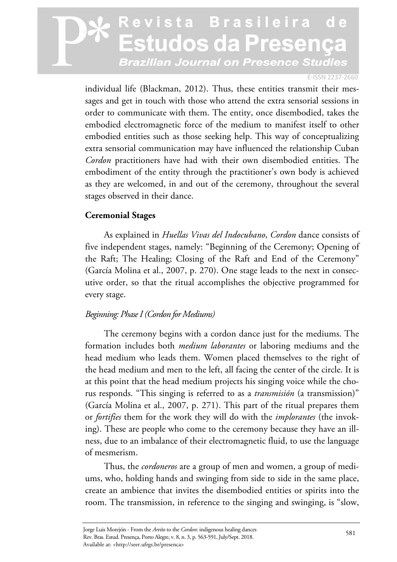#### E‐ISSN 2237‐2660

individual life (Blackman, 2012). Thus, these entities transmit their messages and get in touch with those who attend the extra sensorial sessions in order to communicate with them. The entity, once disembodied, takes the embodied electromagnetic force of the medium to manifest itself to other embodied entities such as those seeking help. This way of conceptualizing extra sensorial communication may have influenced the relationship Cuban *Cordon* practitioners have had with their own disembodied entities. The embodiment of the entity through the practitioner's own body is achieved as they are welcomed, in and out of the ceremony, throughout the several stages observed in their dance.

### **Ceremonial Stages**

As explained in *Huellas Vivas del Indocubano*, *Cordon* dance consists of five independent stages, namely: "Beginning of the Ceremony; Opening of the Raft; The Healing; Closing of the Raft and End of the Ceremony" (García Molina et al., 2007, p. 270). One stage leads to the next in consecutive order, so that the ritual accomplishes the objective programmed for every stage.

### *Beginning: Phase I (Cordon for Mediums)*

The ceremony begins with a cordon dance just for the mediums. The formation includes both *medium laborantes* or laboring mediums and the head medium who leads them. Women placed themselves to the right of the head medium and men to the left, all facing the center of the circle. It is at this point that the head medium projects his singing voice while the chorus responds. "This singing is referred to as a *transmisión* (a transmission)" (García Molina et al., 2007, p. 271). This part of the ritual prepares them or *fortifies* them for the work they will do with the *implorantes* (the invoking). These are people who come to the ceremony because they have an illness, due to an imbalance of their electromagnetic fluid, to use the language of mesmerism.

Thus, the *cordoneros* are a group of men and women, a group of mediums, who, holding hands and swinging from side to side in the same place, create an ambience that invites the disembodied entities or spirits into the room. The transmission, in reference to the singing and swinging, is "slow,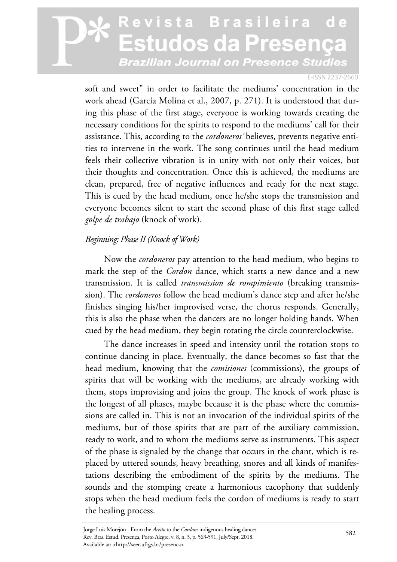#### E‐ISSN 2237‐2660

soft and sweet" in order to facilitate the mediums' concentration in the work ahead (García Molina et al., 2007, p. 271). It is understood that during this phase of the first stage, everyone is working towards creating the necessary conditions for the spirits to respond to the mediums' call for their assistance. This, according to the *cordoneros'* believes, prevents negative entities to intervene in the work. The song continues until the head medium feels their collective vibration is in unity with not only their voices, but their thoughts and concentration. Once this is achieved, the mediums are clean, prepared, free of negative influences and ready for the next stage. This is cued by the head medium, once he/she stops the transmission and everyone becomes silent to start the second phase of this first stage called *golpe de trabajo* (knock of work).

### *Beginning: Phase II (Knock of Work)*

Now the *cordoneros* pay attention to the head medium, who begins to mark the step of the *Cordon* dance, which starts a new dance and a new transmission. It is called *transmission de rompimiento* (breaking transmission). The *cordoneros* follow the head medium's dance step and after he/she finishes singing his/her improvised verse, the chorus responds. Generally, this is also the phase when the dancers are no longer holding hands. When cued by the head medium, they begin rotating the circle counterclockwise.

The dance increases in speed and intensity until the rotation stops to continue dancing in place. Eventually, the dance becomes so fast that the head medium, knowing that the *comisiones* (commissions), the groups of spirits that will be working with the mediums, are already working with them, stops improvising and joins the group. The knock of work phase is the longest of all phases, maybe because it is the phase where the commissions are called in. This is not an invocation of the individual spirits of the mediums, but of those spirits that are part of the auxiliary commission, ready to work, and to whom the mediums serve as instruments. This aspect of the phase is signaled by the change that occurs in the chant, which is replaced by uttered sounds, heavy breathing, snores and all kinds of manifestations describing the embodiment of the spirits by the mediums. The sounds and the stomping create a harmonious cacophony that suddenly stops when the head medium feels the cordon of mediums is ready to start the healing process.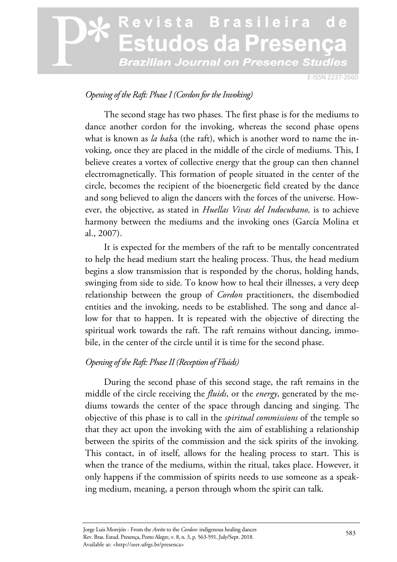E‐ISSN 2237‐2660

### *Opening of the Raft: Phase I (Cordon for the Invoking)*

The second stage has two phases. The first phase is for the mediums to dance another cordon for the invoking, whereas the second phase opens what is known as *la bal*sa (the raft), which is another word to name the invoking, once they are placed in the middle of the circle of mediums. This, I believe creates a vortex of collective energy that the group can then channel electromagnetically. This formation of people situated in the center of the circle, becomes the recipient of the bioenergetic field created by the dance and song believed to align the dancers with the forces of the universe. However, the objective, as stated in *Huellas Vivas del Indocubano,* is to achieve harmony between the mediums and the invoking ones (García Molina et al., 2007).

It is expected for the members of the raft to be mentally concentrated to help the head medium start the healing process. Thus, the head medium begins a slow transmission that is responded by the chorus, holding hands, swinging from side to side. To know how to heal their illnesses, a very deep relationship between the group of *Cordon* practitioners, the disembodied entities and the invoking, needs to be established. The song and dance allow for that to happen. It is repeated with the objective of directing the spiritual work towards the raft. The raft remains without dancing, immobile, in the center of the circle until it is time for the second phase.

### *Opening of the Raft: Phase II (Reception of Fluids)*

During the second phase of this second stage, the raft remains in the middle of the circle receiving the *fluids*, or the *energy*, generated by the mediums towards the center of the space through dancing and singing. The objective of this phase is to call in the *spiritual commissions* of the temple so that they act upon the invoking with the aim of establishing a relationship between the spirits of the commission and the sick spirits of the invoking. This contact, in of itself, allows for the healing process to start. This is when the trance of the mediums, within the ritual, takes place. However, it only happens if the commission of spirits needs to use someone as a speaking medium, meaning, a person through whom the spirit can talk.

Jorge Luis Morejón - From the *Areíto* to the *Cordon*: indigenous healing dances Rev. Bras. Estud. Presença, Porto Alegre, v. 8, n. 3, p. 563-591, July/Sept. 2018. Available at: <http://seer.ufrgs.br/presenca>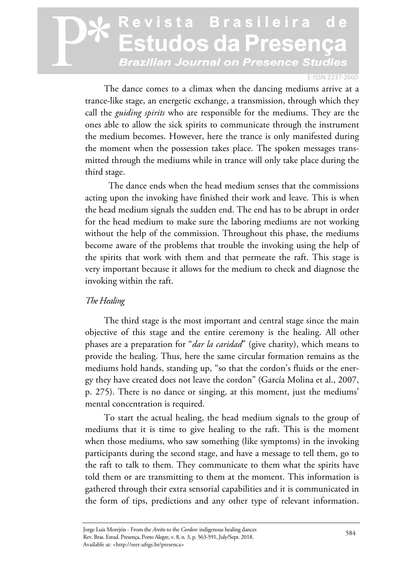#### E‐ISSN 2237‐2660

The dance comes to a climax when the dancing mediums arrive at a trance-like stage, an energetic exchange, a transmission, through which they call the *guiding spirits* who are responsible for the mediums. They are the ones able to allow the sick spirits to communicate through the instrument the medium becomes. However, here the trance is only manifested during the moment when the possession takes place. The spoken messages transmitted through the mediums while in trance will only take place during the third stage.

 The dance ends when the head medium senses that the commissions acting upon the invoking have finished their work and leave. This is when the head medium signals the sudden end. The end has to be abrupt in order for the head medium to make sure the laboring mediums are not working without the help of the commission. Throughout this phase, the mediums become aware of the problems that trouble the invoking using the help of the spirits that work with them and that permeate the raft. This stage is very important because it allows for the medium to check and diagnose the invoking within the raft.

### *The Healing*

The third stage is the most important and central stage since the main objective of this stage and the entire ceremony is the healing. All other phases are a preparation for "*dar la caridad*" (give charity), which means to provide the healing. Thus, here the same circular formation remains as the mediums hold hands, standing up, "so that the cordon's fluids or the energy they have created does not leave the cordon" (García Molina et al., 2007, p. 275). There is no dance or singing, at this moment, just the mediums' mental concentration is required.

To start the actual healing, the head medium signals to the group of mediums that it is time to give healing to the raft. This is the moment when those mediums, who saw something (like symptoms) in the invoking participants during the second stage, and have a message to tell them, go to the raft to talk to them. They communicate to them what the spirits have told them or are transmitting to them at the moment. This information is gathered through their extra sensorial capabilities and it is communicated in the form of tips, predictions and any other type of relevant information.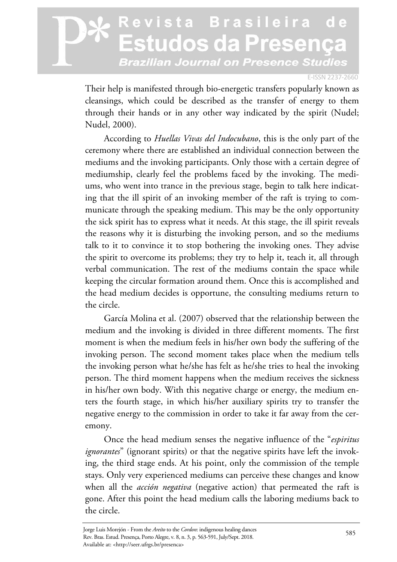#### E‐ISSN 2237‐2660

Their help is manifested through bio-energetic transfers popularly known as cleansings, which could be described as the transfer of energy to them through their hands or in any other way indicated by the spirit (Nudel; Nudel, 2000).

According to *Huellas Vivas del Indocubano*, this is the only part of the ceremony where there are established an individual connection between the mediums and the invoking participants. Only those with a certain degree of mediumship, clearly feel the problems faced by the invoking. The mediums, who went into trance in the previous stage, begin to talk here indicating that the ill spirit of an invoking member of the raft is trying to communicate through the speaking medium. This may be the only opportunity the sick spirit has to express what it needs. At this stage, the ill spirit reveals the reasons why it is disturbing the invoking person, and so the mediums talk to it to convince it to stop bothering the invoking ones. They advise the spirit to overcome its problems; they try to help it, teach it, all through verbal communication. The rest of the mediums contain the space while keeping the circular formation around them. Once this is accomplished and the head medium decides is opportune, the consulting mediums return to the circle.

García Molina et al. (2007) observed that the relationship between the medium and the invoking is divided in three different moments. The first moment is when the medium feels in his/her own body the suffering of the invoking person. The second moment takes place when the medium tells the invoking person what he/she has felt as he/she tries to heal the invoking person. The third moment happens when the medium receives the sickness in his/her own body. With this negative charge or energy, the medium enters the fourth stage, in which his/her auxiliary spirits try to transfer the negative energy to the commission in order to take it far away from the ceremony.

Once the head medium senses the negative influence of the "*espiritus ignorantes*" (ignorant spirits) or that the negative spirits have left the invoking, the third stage ends. At his point, only the commission of the temple stays. Only very experienced mediums can perceive these changes and know when all the *acción negativa* (negative action) that permeated the raft is gone. After this point the head medium calls the laboring mediums back to the circle.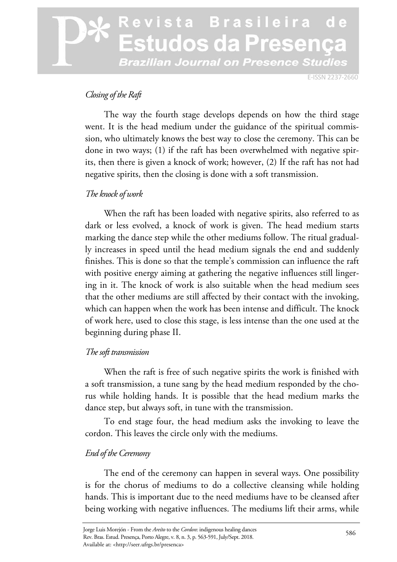E‐ISSN 2237‐2660

### *Closing of the Raft*

The way the fourth stage develops depends on how the third stage went. It is the head medium under the guidance of the spiritual commission, who ultimately knows the best way to close the ceremony. This can be done in two ways; (1) if the raft has been overwhelmed with negative spirits, then there is given a knock of work; however, (2) If the raft has not had negative spirits, then the closing is done with a soft transmission.

### *The knock of work*

When the raft has been loaded with negative spirits, also referred to as dark or less evolved, a knock of work is given. The head medium starts marking the dance step while the other mediums follow. The ritual gradually increases in speed until the head medium signals the end and suddenly finishes. This is done so that the temple's commission can influence the raft with positive energy aiming at gathering the negative influences still lingering in it. The knock of work is also suitable when the head medium sees that the other mediums are still affected by their contact with the invoking, which can happen when the work has been intense and difficult. The knock of work here, used to close this stage, is less intense than the one used at the beginning during phase II.

### *The soft transmission*

When the raft is free of such negative spirits the work is finished with a soft transmission, a tune sang by the head medium responded by the chorus while holding hands. It is possible that the head medium marks the dance step, but always soft, in tune with the transmission.

To end stage four, the head medium asks the invoking to leave the cordon. This leaves the circle only with the mediums.

### *End of the Ceremony*

The end of the ceremony can happen in several ways. One possibility is for the chorus of mediums to do a collective cleansing while holding hands. This is important due to the need mediums have to be cleansed after being working with negative influences. The mediums lift their arms, while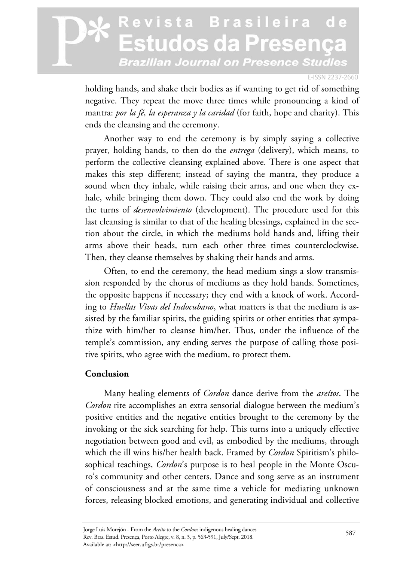#### E‐ISSN 2237‐2660

holding hands, and shake their bodies as if wanting to get rid of something negative. They repeat the move three times while pronouncing a kind of mantra: *por la fé, la esperanza y la caridad* (for faith, hope and charity). This ends the cleansing and the ceremony.

Another way to end the ceremony is by simply saying a collective prayer, holding hands, to then do the *entrega* (delivery), which means, to perform the collective cleansing explained above. There is one aspect that makes this step different; instead of saying the mantra, they produce a sound when they inhale, while raising their arms, and one when they exhale, while bringing them down. They could also end the work by doing the turns of *desenvolvimiento* (development). The procedure used for this last cleansing is similar to that of the healing blessings, explained in the section about the circle, in which the mediums hold hands and, lifting their arms above their heads, turn each other three times counterclockwise. Then, they cleanse themselves by shaking their hands and arms.

Often, to end the ceremony, the head medium sings a slow transmission responded by the chorus of mediums as they hold hands. Sometimes, the opposite happens if necessary; they end with a knock of work. According to *Huellas Vivas del Indocubano*, what matters is that the medium is assisted by the familiar spirits, the guiding spirits or other entities that sympathize with him/her to cleanse him/her. Thus, under the influence of the temple's commission, any ending serves the purpose of calling those positive spirits, who agree with the medium, to protect them.

### **Conclusion**

Many healing elements of *Cordon* dance derive from the *areítos*. The *Cordon* rite accomplishes an extra sensorial dialogue between the medium's positive entities and the negative entities brought to the ceremony by the invoking or the sick searching for help. This turns into a uniquely effective negotiation between good and evil, as embodied by the mediums, through which the ill wins his/her health back. Framed by *Cordon* Spiritism's philosophical teachings, *Cordon*'s purpose is to heal people in the Monte Oscuro's community and other centers. Dance and song serve as an instrument of consciousness and at the same time a vehicle for mediating unknown forces, releasing blocked emotions, and generating individual and collective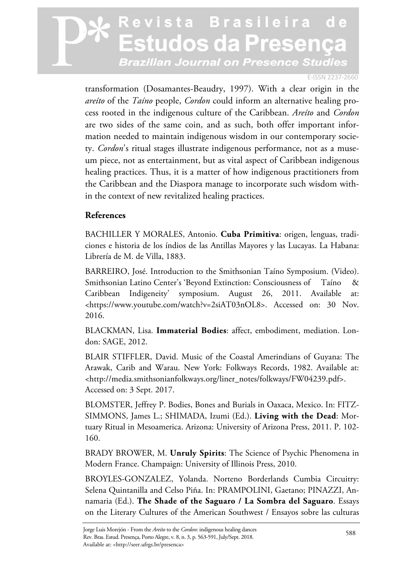#### E‐ISSN 2237‐2660

transformation (Dosamantes-Beaudry, 1997). With a clear origin in the *areíto* of the *Taíno* people, *Cordon* could inform an alternative healing process rooted in the indigenous culture of the Caribbean. *Areíto* and *Cordon*  are two sides of the same coin, and as such, both offer important information needed to maintain indigenous wisdom in our contemporary society. *Cordon*'s ritual stages illustrate indigenous performance, not as a museum piece, not as entertainment, but as vital aspect of Caribbean indigenous healing practices. Thus, it is a matter of how indigenous practitioners from the Caribbean and the Diaspora manage to incorporate such wisdom within the context of new revitalized healing practices.

### **References**

BACHILLER Y MORALES, Antonio. **Cuba Primitiva**: origen, lenguas, tradiciones e historia de los índios de las Antillas Mayores y las Lucayas. La Habana: Librería de M. de Villa, 1883.

BARREIRO, José. Introduction to the Smithsonian Taíno Symposium. (Video). Smithsonian Latino Center's 'Beyond Extinction: Consciousness of Taíno & Caribbean Indigeneity' symposium. August 26, 2011. Available at: <https://www.youtube.com/watch?v=2siAT03nOL8>. Accessed on: 30 Nov. 2016.

BLACKMAN, Lisa. **Immaterial Bodies**: affect, embodiment, mediation. London: SAGE, 2012.

BLAIR STIFFLER, David. Music of the Coastal Amerindians of Guyana: The Arawak, Carib and Warau. New York: Folkways Records, 1982. Available at: <http://media.smithsonianfolkways.org/liner\_notes/folkways/FW04239.pdf>. Accessed on: 3 Sept. 2017.

BLOMSTER, Jeffrey P. Bodies, Bones and Burials in Oaxaca, Mexico. In: FITZ-SIMMONS, James L.; SHIMADA, Izumi (Ed.). **Living with the Dead**: Mortuary Ritual in Mesoamerica. Arizona: University of Arizona Press, 2011. P. 102- 160.

BRADY BROWER, M. **Unruly Spirits**: The Science of Psychic Phenomena in Modern France. Champaign: University of Illinois Press, 2010.

BROYLES-GONZALEZ, Yolanda. Norteno Borderlands Cumbia Circuitry: Selena Quintanilla and Celso Piña. In: PRAMPOLINI, Gaetano; PINAZZI, Annamaria (Ed.). **The Shade of the Saguaro / La Sombra del Saguaro**. Essays on the Literary Cultures of the American Southwest / Ensayos sobre las culturas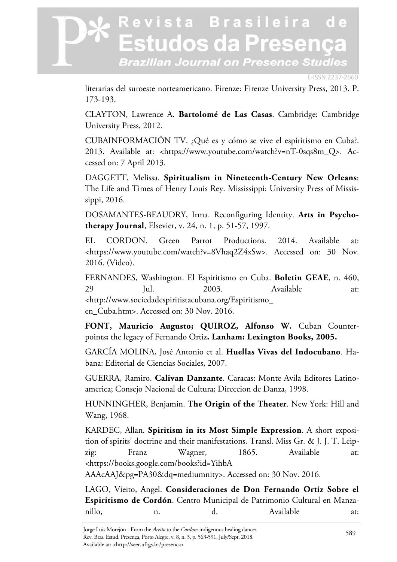#### E‐ISSN 2237‐2660

literarias del suroeste norteamericano. Firenze: Firenze University Press, 2013. P. 173-193.

CLAYTON, Lawrence A. **Bartolomé de Las Casas**. Cambridge: Cambridge University Press, 2012.

CUBAINFORMACIÓN TV. ¿Qué es y cómo se vive el espiritismo en Cuba?. 2013. Available at: <https://www.youtube.com/watch?v=nT-0sqs8m\_Q>. Accessed on: 7 April 2013.

DAGGETT, Melissa. **Spiritualism in Nineteenth-Century New Orleans**: The Life and Times of Henry Louis Rey. Mississippi: University Press of Mississippi, 2016.

DOSAMANTES-BEAUDRY, Irma. Reconfiguring Identity. **Arts in Psychotherapy Journal**, Elsevier, v. 24, n. 1, p. 51-57, 1997.

EL CORDON. Green Parrot Productions. 2014. Available at: <https://www.youtube.com/watch?v=8Vhaq2Z4xSw>. Accessed on: 30 Nov. 2016. (Video).

FERNANDES, Washington. El Espiritismo en Cuba. **Boletin GEAE**, n. 460, 29 Jul. 2003. Available at: <http://www.sociedadespiritistacubana.org/Espiritismo\_ en\_Cuba.htm>. Accessed on: 30 Nov. 2016.

FONT, Mauricio Augusto; QUIROZ, Alfonso W. Cuban Counterpoints**:** the legacy of Fernando Ortiz**. Lanham: Lexington Books, 2005.**

GARCÍA MOLINA, José Antonio et al. **Huellas Vivas del Indocubano**. Habana: Editorial de Ciencias Sociales, 2007.

GUERRA, Ramiro. **Calivan Danzante**. Caracas: Monte Avila Editores Latinoamerica; Consejo Nacional de Cultura; Direccion de Danza, 1998.

HUNNINGHER, Benjamin. **The Origin of the Theater**. New York: Hill and Wang, 1968.

KARDEC, Allan. **Spiritism in its Most Simple Expression**. A short exposition of spirits' doctrine and their manifestations. Transl. Miss Gr. & J. J. T. Leipzig: Franz Wagner, 1865. Available at: <https://books.google.com/books?id=YihbA

AAAcAAJ&pg=PA30&dq=mediumnity>. Accessed on: 30 Nov. 2016.

LAGO, Vieito, Angel. **Consideraciones de Don Fernando Ortiz Sobre el Espiritismo de Cordón**. Centro Municipal de Patrimonio Cultural en Manzanillo, n. d. Available at: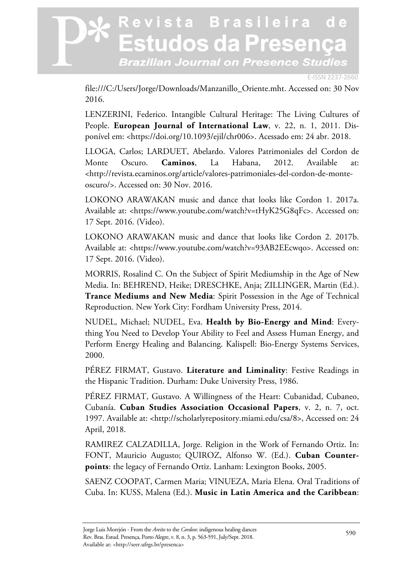#### E‐ISSN 2237‐2660

file:///C:/Users/Jorge/Downloads/Manzanillo\_Oriente.mht. Accessed on: 30 Nov 2016.

LENZERINI, Federico. Intangible Cultural Heritage: The Living Cultures of People. **European Journal of International Law**, v. 22, n. 1, 2011. Disponível em: <https://doi.org/10.1093/ejil/chr006>. Acessado em: 24 abr. 2018.

LLOGA, Carlos; LARDUET, Abelardo. Valores Patrimoniales del Cordon de Monte Oscuro. **Caminos**, La Habana, 2012. Available at: <http://revista.ecaminos.org/article/valores-patrimoniales-del-cordon-de-monteoscuro/>. Accessed on: 30 Nov. 2016.

LOKONO ARAWAKAN music and dance that looks like Cordon 1. 2017a. Available at: <https://www.youtube.com/watch?v=tHyK25G8qFc>. Accessed on: 17 Sept. 2016. (Video).

LOKONO ARAWAKAN music and dance that looks like Cordon 2. 2017b. Available at: <https://www.youtube.com/watch?v=93AB2EEcwqo>. Accessed on: 17 Sept. 2016. (Video).

MORRIS, Rosalind C. On the Subject of Spirit Mediumship in the Age of New Media. In: BEHREND, Heike; DRESCHKE, Anja; ZILLINGER, Martin (Ed.). **Trance Mediums and New Media**: Spirit Possession in the Age of Technical Reproduction. New York City: Fordham University Press, 2014.

NUDEL, Michael; NUDEL, Eva. **Health by Bio-Energy and Mind**: Everything You Need to Develop Your Ability to Feel and Assess Human Energy, and Perform Energy Healing and Balancing. Kalispell: Bio-Energy Systems Services, 2000.

PÉREZ FIRMAT, Gustavo. **Literature and Liminality**: Festive Readings in the Hispanic Tradition. Durham: Duke University Press, 1986.

PÉREZ FIRMAT, Gustavo. A Willingness of the Heart: Cubanidad, Cubaneo, Cubanía. **Cuban Studies Association Occasional Papers**, v. 2, n. 7, oct. 1997. Available at: <http://scholarlyrepository.miami.edu/csa/8>, Accessed on: 24 April, 2018.

RAMIREZ CALZADILLA, Jorge. Religion in the Work of Fernando Ortiz. In: FONT, Mauricio Augusto; QUIROZ, Alfonso W. (Ed.). **Cuban Counterpoints**: the legacy of Fernando Ortiz. Lanham: Lexington Books, 2005.

SAENZ COOPAT, Carmen Maria; VINUEZA, Maria Elena. Oral Traditions of Cuba. In: KUSS, Malena (Ed.). **Music in Latin America and the Caribbean**:

Jorge Luis Morejón - From the *Areíto* to the *Cordon*: indigenous healing dances Rev. Bras. Estud. Presença, Porto Alegre, v. 8, n. 3, p. 563-591, July/Sept. 2018. Available at: <http://seer.ufrgs.br/presenca>